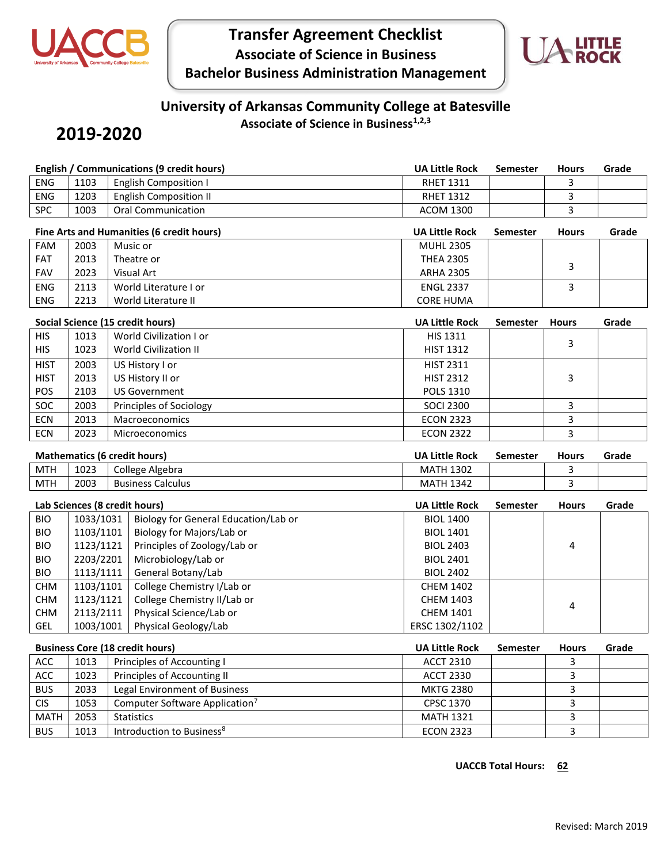

## **Transfer Agreement Checklist Associate of Science in Business Bachelor Business Administration Management**



# **University of Arkansas Community College at Batesville**

### **2019-2020**

**Associate of Science in Business1,2,3**

|                                     |           | <b>English / Communications (9 credit hours)</b> | <b>UA Little Rock</b> | Semester        | <b>Hours</b> | Grade |
|-------------------------------------|-----------|--------------------------------------------------|-----------------------|-----------------|--------------|-------|
| <b>ENG</b>                          | 1103      | <b>English Composition I</b>                     | <b>RHET 1311</b>      |                 | 3            |       |
| ENG                                 | 1203      | <b>English Composition II</b>                    | <b>RHET 1312</b>      |                 | 3            |       |
| <b>SPC</b>                          | 1003      | <b>Oral Communication</b>                        | <b>ACOM 1300</b>      |                 | 3            |       |
|                                     |           | Fine Arts and Humanities (6 credit hours)        | <b>UA Little Rock</b> | <b>Semester</b> | <b>Hours</b> | Grade |
| <b>FAM</b>                          | 2003      | Music or                                         | <b>MUHL 2305</b>      |                 |              |       |
| FAT                                 | 2013      | Theatre or                                       | <b>THEA 2305</b>      |                 |              |       |
| <b>FAV</b>                          | 2023      | Visual Art                                       | <b>ARHA 2305</b>      |                 | 3            |       |
| ENG                                 | 2113      | World Literature I or                            | <b>ENGL 2337</b>      |                 | 3            |       |
| ENG                                 | 2213      | World Literature II                              | <b>CORE HUMA</b>      |                 |              |       |
|                                     |           | Social Science (15 credit hours)                 | <b>UA Little Rock</b> | Semester        | <b>Hours</b> | Grade |
| <b>HIS</b>                          | 1013      | World Civilization I or                          | HIS 1311              |                 |              |       |
| <b>HIS</b>                          | 1023      | <b>World Civilization II</b>                     | <b>HIST 1312</b>      |                 | 3            |       |
| <b>HIST</b>                         | 2003      | US History I or                                  | <b>HIST 2311</b>      |                 |              |       |
| <b>HIST</b>                         | 2013      | US History II or                                 | <b>HIST 2312</b>      |                 | 3            |       |
| POS                                 | 2103      | <b>US Government</b>                             | POLS 1310             |                 |              |       |
| SOC                                 | 2003      | Principles of Sociology                          | <b>SOCI 2300</b>      |                 | 3            |       |
| <b>ECN</b>                          | 2013      | Macroeconomics                                   | <b>ECON 2323</b>      |                 | 3            |       |
| ECN                                 | 2023      | Microeconomics                                   | <b>ECON 2322</b>      |                 | 3            |       |
|                                     |           |                                                  |                       |                 |              |       |
| <b>Mathematics (6 credit hours)</b> |           |                                                  | <b>UA Little Rock</b> | <b>Semester</b> | <b>Hours</b> | Grade |
|                                     |           |                                                  |                       |                 |              |       |
| <b>MTH</b>                          | 1023      | College Algebra                                  | <b>MATH 1302</b>      |                 | 3            |       |
| <b>MTH</b>                          | 2003      | <b>Business Calculus</b>                         | <b>MATH 1342</b>      |                 | 3            |       |
|                                     |           | Lab Sciences (8 credit hours)                    | <b>UA Little Rock</b> | <b>Semester</b> | <b>Hours</b> | Grade |
| <b>BIO</b>                          | 1033/1031 | Biology for General Education/Lab or             | <b>BIOL 1400</b>      |                 |              |       |
| <b>BIO</b>                          | 1103/1101 | Biology for Majors/Lab or                        | <b>BIOL 1401</b>      |                 |              |       |
| <b>BIO</b>                          | 1123/1121 | Principles of Zoology/Lab or                     | <b>BIOL 2403</b>      |                 | 4            |       |
| <b>BIO</b>                          | 2203/2201 | Microbiology/Lab or                              | <b>BIOL 2401</b>      |                 |              |       |
| <b>BIO</b>                          | 1113/1111 | General Botany/Lab                               | <b>BIOL 2402</b>      |                 |              |       |
| <b>CHM</b>                          | 1103/1101 | College Chemistry I/Lab or                       | <b>CHEM 1402</b>      |                 |              |       |
| <b>CHM</b>                          | 1123/1121 | College Chemistry II/Lab or                      | <b>CHEM 1403</b>      |                 |              |       |
| <b>CHM</b>                          | 2113/2111 | Physical Science/Lab or                          | <b>CHEM 1401</b>      |                 | 4            |       |
| <b>GEL</b>                          | 1003/1001 | Physical Geology/Lab                             | ERSC 1302/1102        |                 |              |       |
|                                     |           | <b>Business Core (18 credit hours)</b>           | <b>UA Little Rock</b> | Semester        | <b>Hours</b> | Grade |
| ACC                                 | 1013      | Principles of Accounting I                       | <b>ACCT 2310</b>      |                 | 3            |       |
| ACC                                 | 1023      | Principles of Accounting II                      | <b>ACCT 2330</b>      |                 | 3            |       |
| <b>BUS</b>                          | 2033      | Legal Environment of Business                    | <b>MKTG 2380</b>      |                 | 3            |       |
| <b>CIS</b>                          | 1053      | Computer Software Application <sup>7</sup>       | CPSC 1370             |                 | 3            |       |
| <b>MATH</b>                         | 2053      | <b>Statistics</b>                                | <b>MATH 1321</b>      |                 | 3            |       |

**UACCB Total Hours: 62**